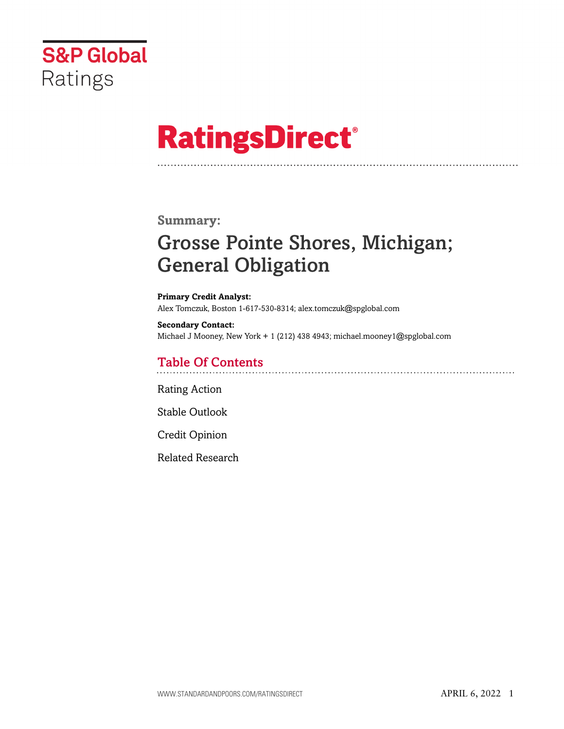

# **RatingsDirect®**

## **Summary:**

# Grosse Pointe Shores, Michigan; General Obligation

**Primary Credit Analyst:** Alex Tomczuk, Boston 1-617-530-8314; alex.tomczuk@spglobal.com

**Secondary Contact:** Michael J Mooney, New York + 1 (212) 438 4943; michael.mooney1@spglobal.com

# Table Of Contents

[Rating Action](#page-1-0)

[Stable Outlook](#page-2-0)

[Credit Opinion](#page-2-1)

[Related Research](#page-6-0)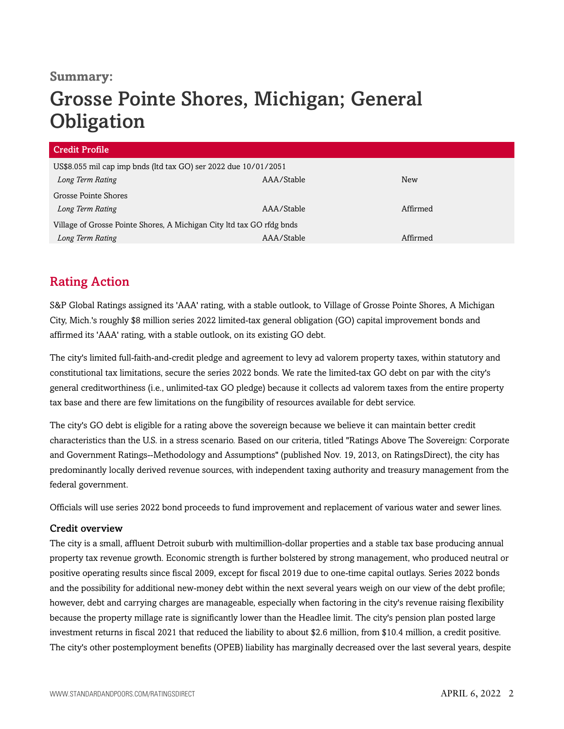## **Summary:**

# Grosse Pointe Shores, Michigan; General **Obligation**

| <b>Credit Profile</b>                                                 |            |            |  |  |
|-----------------------------------------------------------------------|------------|------------|--|--|
| US\$8.055 mil cap imp bnds (ltd tax GO) ser 2022 due 10/01/2051       |            |            |  |  |
| Long Term Rating                                                      | AAA/Stable | <b>New</b> |  |  |
| Grosse Pointe Shores                                                  |            |            |  |  |
| Long Term Rating                                                      | AAA/Stable | Affirmed   |  |  |
| Village of Grosse Pointe Shores, A Michigan City ltd tax GO rfdg bnds |            |            |  |  |
| Long Term Rating                                                      | AAA/Stable | Affirmed   |  |  |

# <span id="page-1-0"></span>Rating Action

S&P Global Ratings assigned its 'AAA' rating, with a stable outlook, to Village of Grosse Pointe Shores, A Michigan City, Mich.'s roughly \$8 million series 2022 limited-tax general obligation (GO) capital improvement bonds and affirmed its 'AAA' rating, with a stable outlook, on its existing GO debt.

The city's limited full-faith-and-credit pledge and agreement to levy ad valorem property taxes, within statutory and constitutional tax limitations, secure the series 2022 bonds. We rate the limited-tax GO debt on par with the city's general creditworthiness (i.e., unlimited-tax GO pledge) because it collects ad valorem taxes from the entire property tax base and there are few limitations on the fungibility of resources available for debt service.

The city's GO debt is eligible for a rating above the sovereign because we believe it can maintain better credit characteristics than the U.S. in a stress scenario. Based on our criteria, titled "Ratings Above The Sovereign: Corporate and Government Ratings--Methodology and Assumptions" (published Nov. 19, 2013, on RatingsDirect), the city has predominantly locally derived revenue sources, with independent taxing authority and treasury management from the federal government.

Officials will use series 2022 bond proceeds to fund improvement and replacement of various water and sewer lines.

### Credit overview

The city is a small, affluent Detroit suburb with multimillion-dollar properties and a stable tax base producing annual property tax revenue growth. Economic strength is further bolstered by strong management, who produced neutral or positive operating results since fiscal 2009, except for fiscal 2019 due to one-time capital outlays. Series 2022 bonds and the possibility for additional new-money debt within the next several years weigh on our view of the debt profile; however, debt and carrying charges are manageable, especially when factoring in the city's revenue raising flexibility because the property millage rate is significantly lower than the Headlee limit. The city's pension plan posted large investment returns in fiscal 2021 that reduced the liability to about \$2.6 million, from \$10.4 million, a credit positive. The city's other postemployment benefits (OPEB) liability has marginally decreased over the last several years, despite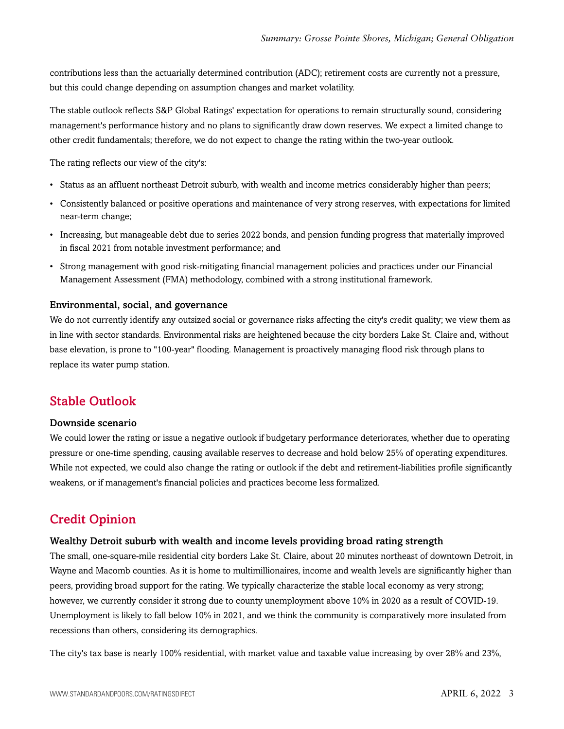contributions less than the actuarially determined contribution (ADC); retirement costs are currently not a pressure, but this could change depending on assumption changes and market volatility.

The stable outlook reflects S&P Global Ratings' expectation for operations to remain structurally sound, considering management's performance history and no plans to significantly draw down reserves. We expect a limited change to other credit fundamentals; therefore, we do not expect to change the rating within the two-year outlook.

The rating reflects our view of the city's:

- Status as an affluent northeast Detroit suburb, with wealth and income metrics considerably higher than peers;
- Consistently balanced or positive operations and maintenance of very strong reserves, with expectations for limited near-term change;
- Increasing, but manageable debt due to series 2022 bonds, and pension funding progress that materially improved in fiscal 2021 from notable investment performance; and
- Strong management with good risk-mitigating financial management policies and practices under our Financial Management Assessment (FMA) methodology, combined with a strong institutional framework.

#### Environmental, social, and governance

We do not currently identify any outsized social or governance risks affecting the city's credit quality; we view them as in line with sector standards. Environmental risks are heightened because the city borders Lake St. Claire and, without base elevation, is prone to "100-year" flooding. Management is proactively managing flood risk through plans to replace its water pump station.

# <span id="page-2-0"></span>Stable Outlook

#### Downside scenario

We could lower the rating or issue a negative outlook if budgetary performance deteriorates, whether due to operating pressure or one-time spending, causing available reserves to decrease and hold below 25% of operating expenditures. While not expected, we could also change the rating or outlook if the debt and retirement-liabilities profile significantly weakens, or if management's financial policies and practices become less formalized.

# <span id="page-2-1"></span>Credit Opinion

#### Wealthy Detroit suburb with wealth and income levels providing broad rating strength

The small, one-square-mile residential city borders Lake St. Claire, about 20 minutes northeast of downtown Detroit, in Wayne and Macomb counties. As it is home to multimillionaires, income and wealth levels are significantly higher than peers, providing broad support for the rating. We typically characterize the stable local economy as very strong; however, we currently consider it strong due to county unemployment above 10% in 2020 as a result of COVID-19. Unemployment is likely to fall below 10% in 2021, and we think the community is comparatively more insulated from recessions than others, considering its demographics.

The city's tax base is nearly 100% residential, with market value and taxable value increasing by over 28% and 23%,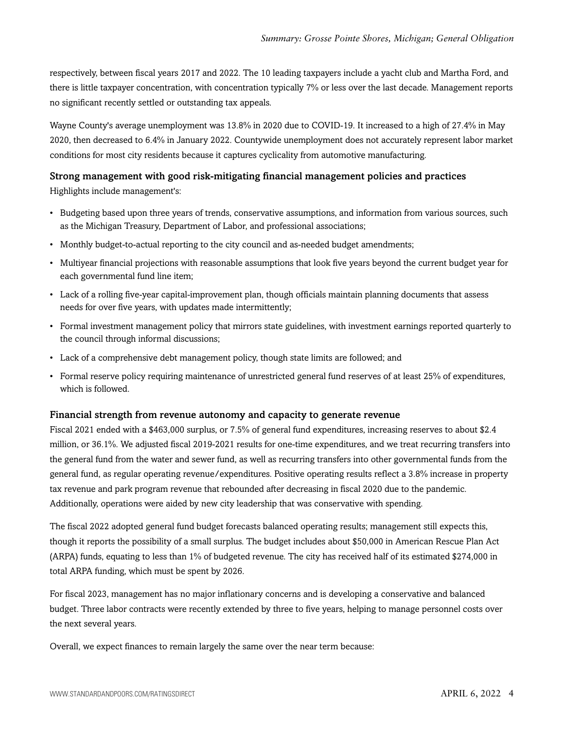respectively, between fiscal years 2017 and 2022. The 10 leading taxpayers include a yacht club and Martha Ford, and there is little taxpayer concentration, with concentration typically 7% or less over the last decade. Management reports no significant recently settled or outstanding tax appeals.

Wayne County's average unemployment was 13.8% in 2020 due to COVID-19. It increased to a high of 27.4% in May 2020, then decreased to 6.4% in January 2022. Countywide unemployment does not accurately represent labor market conditions for most city residents because it captures cyclicality from automotive manufacturing.

#### Strong management with good risk-mitigating financial management policies and practices

Highlights include management's:

- Budgeting based upon three years of trends, conservative assumptions, and information from various sources, such as the Michigan Treasury, Department of Labor, and professional associations;
- Monthly budget-to-actual reporting to the city council and as-needed budget amendments;
- Multiyear financial projections with reasonable assumptions that look five years beyond the current budget year for each governmental fund line item;
- Lack of a rolling five-year capital-improvement plan, though officials maintain planning documents that assess needs for over five years, with updates made intermittently;
- Formal investment management policy that mirrors state guidelines, with investment earnings reported quarterly to the council through informal discussions;
- Lack of a comprehensive debt management policy, though state limits are followed; and
- Formal reserve policy requiring maintenance of unrestricted general fund reserves of at least 25% of expenditures, which is followed.

#### Financial strength from revenue autonomy and capacity to generate revenue

Fiscal 2021 ended with a \$463,000 surplus, or 7.5% of general fund expenditures, increasing reserves to about \$2.4 million, or 36.1%. We adjusted fiscal 2019-2021 results for one-time expenditures, and we treat recurring transfers into the general fund from the water and sewer fund, as well as recurring transfers into other governmental funds from the general fund, as regular operating revenue/expenditures. Positive operating results reflect a 3.8% increase in property tax revenue and park program revenue that rebounded after decreasing in fiscal 2020 due to the pandemic. Additionally, operations were aided by new city leadership that was conservative with spending.

The fiscal 2022 adopted general fund budget forecasts balanced operating results; management still expects this, though it reports the possibility of a small surplus. The budget includes about \$50,000 in American Rescue Plan Act (ARPA) funds, equating to less than 1% of budgeted revenue. The city has received half of its estimated \$274,000 in total ARPA funding, which must be spent by 2026.

For fiscal 2023, management has no major inflationary concerns and is developing a conservative and balanced budget. Three labor contracts were recently extended by three to five years, helping to manage personnel costs over the next several years.

Overall, we expect finances to remain largely the same over the near term because: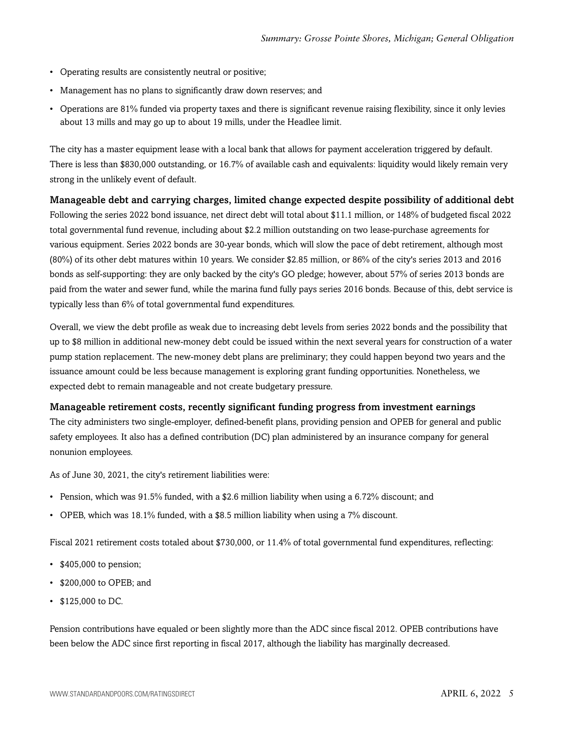- Operating results are consistently neutral or positive;
- Management has no plans to significantly draw down reserves; and
- Operations are 81% funded via property taxes and there is significant revenue raising flexibility, since it only levies about 13 mills and may go up to about 19 mills, under the Headlee limit.

The city has a master equipment lease with a local bank that allows for payment acceleration triggered by default. There is less than \$830,000 outstanding, or 16.7% of available cash and equivalents: liquidity would likely remain very strong in the unlikely event of default.

Manageable debt and carrying charges, limited change expected despite possibility of additional debt Following the series 2022 bond issuance, net direct debt will total about \$11.1 million, or 148% of budgeted fiscal 2022 total governmental fund revenue, including about \$2.2 million outstanding on two lease-purchase agreements for various equipment. Series 2022 bonds are 30-year bonds, which will slow the pace of debt retirement, although most (80%) of its other debt matures within 10 years. We consider \$2.85 million, or 86% of the city's series 2013 and 2016 bonds as self-supporting: they are only backed by the city's GO pledge; however, about 57% of series 2013 bonds are paid from the water and sewer fund, while the marina fund fully pays series 2016 bonds. Because of this, debt service is typically less than 6% of total governmental fund expenditures.

Overall, we view the debt profile as weak due to increasing debt levels from series 2022 bonds and the possibility that up to \$8 million in additional new-money debt could be issued within the next several years for construction of a water pump station replacement. The new-money debt plans are preliminary; they could happen beyond two years and the issuance amount could be less because management is exploring grant funding opportunities. Nonetheless, we expected debt to remain manageable and not create budgetary pressure.

#### Manageable retirement costs, recently significant funding progress from investment earnings

The city administers two single-employer, defined-benefit plans, providing pension and OPEB for general and public safety employees. It also has a defined contribution (DC) plan administered by an insurance company for general nonunion employees.

As of June 30, 2021, the city's retirement liabilities were:

- Pension, which was 91.5% funded, with a \$2.6 million liability when using a 6.72% discount; and
- OPEB, which was 18.1% funded, with a \$8.5 million liability when using a 7% discount.

Fiscal 2021 retirement costs totaled about \$730,000, or 11.4% of total governmental fund expenditures, reflecting:

- \$405,000 to pension;
- \$200,000 to OPEB; and
- \$125,000 to DC.

Pension contributions have equaled or been slightly more than the ADC since fiscal 2012. OPEB contributions have been below the ADC since first reporting in fiscal 2017, although the liability has marginally decreased.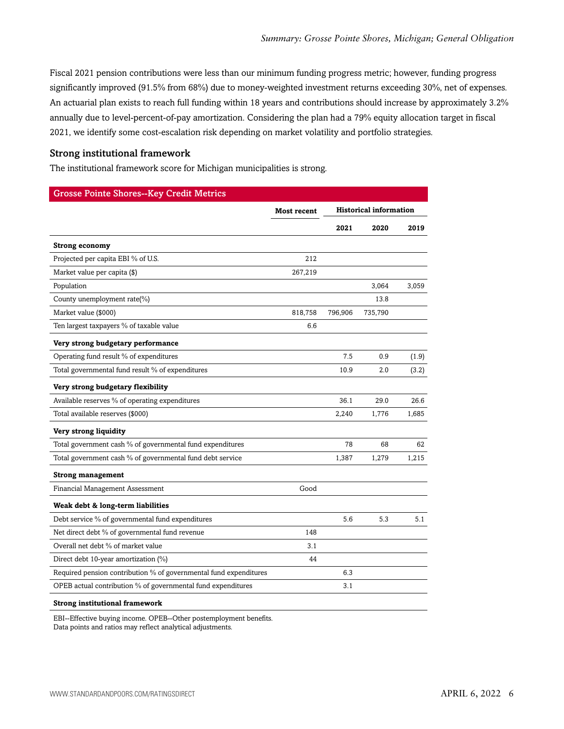Fiscal 2021 pension contributions were less than our minimum funding progress metric; however, funding progress significantly improved (91.5% from 68%) due to money-weighted investment returns exceeding 30%, net of expenses. An actuarial plan exists to reach full funding within 18 years and contributions should increase by approximately 3.2% annually due to level-percent-of-pay amortization. Considering the plan had a 79% equity allocation target in fiscal 2021, we identify some cost-escalation risk depending on market volatility and portfolio strategies.

#### Strong institutional framework

The institutional framework score for Michigan municipalities is strong.

| <b>Grosse Pointe Shores--Key Credit Metrics</b>                   |                    |                               |         |       |
|-------------------------------------------------------------------|--------------------|-------------------------------|---------|-------|
|                                                                   | <b>Most recent</b> | <b>Historical information</b> |         |       |
|                                                                   |                    | 2021                          | 2020    | 2019  |
| <b>Strong economy</b>                                             |                    |                               |         |       |
| Projected per capita EBI % of U.S.                                | 212                |                               |         |       |
| Market value per capita (\$)                                      | 267,219            |                               |         |       |
| Population                                                        |                    |                               | 3,064   | 3,059 |
| County unemployment rate(%)                                       |                    |                               | 13.8    |       |
| Market value (\$000)                                              | 818,758            | 796,906                       | 735,790 |       |
| Ten largest taxpayers % of taxable value                          | 6.6                |                               |         |       |
| Very strong budgetary performance                                 |                    |                               |         |       |
| Operating fund result % of expenditures                           |                    | 7.5                           | 0.9     | (1.9) |
| Total governmental fund result % of expenditures                  |                    | 10.9                          | 2.0     | (3.2) |
| Very strong budgetary flexibility                                 |                    |                               |         |       |
| Available reserves % of operating expenditures                    |                    | 36.1                          | 29.0    | 26.6  |
| Total available reserves (\$000)                                  |                    | 2,240                         | 1,776   | 1,685 |
| Very strong liquidity                                             |                    |                               |         |       |
| Total government cash % of governmental fund expenditures         |                    | 78                            | 68      | 62    |
| Total government cash % of governmental fund debt service         |                    | 1,387                         | 1,279   | 1,215 |
| <b>Strong management</b>                                          |                    |                               |         |       |
| Financial Management Assessment                                   | Good               |                               |         |       |
| Weak debt & long-term liabilities                                 |                    |                               |         |       |
| Debt service % of governmental fund expenditures                  |                    | 5.6                           | 5.3     | 5.1   |
| Net direct debt % of governmental fund revenue                    | 148                |                               |         |       |
| Overall net debt % of market value                                | 3.1                |                               |         |       |
| Direct debt 10-year amortization (%)                              | 44                 |                               |         |       |
| Required pension contribution % of governmental fund expenditures |                    | 6.3                           |         |       |
| OPEB actual contribution % of governmental fund expenditures      |                    | 3.1                           |         |       |
| <b>Strong institutional framework</b>                             |                    |                               |         |       |

EBI--Effective buying income. OPEB--Other postemployment benefits. Data points and ratios may reflect analytical adjustments.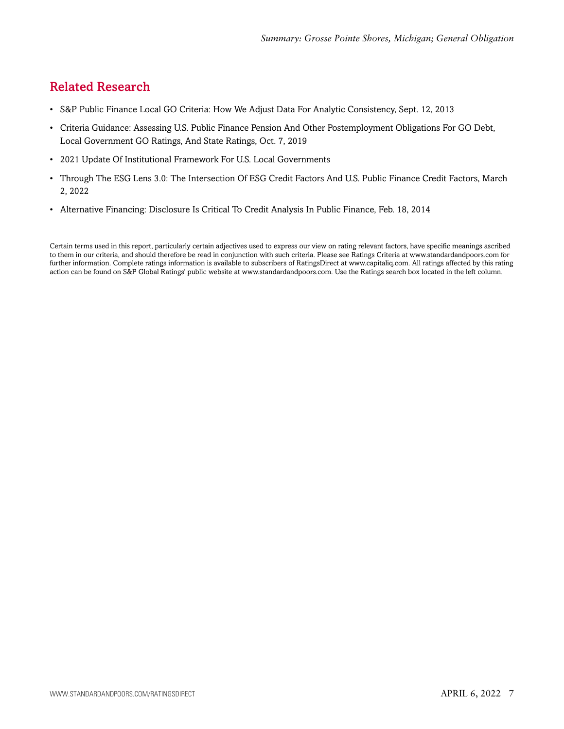# <span id="page-6-0"></span>Related Research

- S&P Public Finance Local GO Criteria: How We Adjust Data For Analytic Consistency, Sept. 12, 2013
- Criteria Guidance: Assessing U.S. Public Finance Pension And Other Postemployment Obligations For GO Debt, Local Government GO Ratings, And State Ratings, Oct. 7, 2019
- 2021 Update Of Institutional Framework For U.S. Local Governments
- Through The ESG Lens 3.0: The Intersection Of ESG Credit Factors And U.S. Public Finance Credit Factors, March 2, 2022
- Alternative Financing: Disclosure Is Critical To Credit Analysis In Public Finance, Feb. 18, 2014

Certain terms used in this report, particularly certain adjectives used to express our view on rating relevant factors, have specific meanings ascribed to them in our criteria, and should therefore be read in conjunction with such criteria. Please see Ratings Criteria at www.standardandpoors.com for further information. Complete ratings information is available to subscribers of RatingsDirect at www.capitaliq.com. All ratings affected by this rating action can be found on S&P Global Ratings' public website at www.standardandpoors.com. Use the Ratings search box located in the left column.